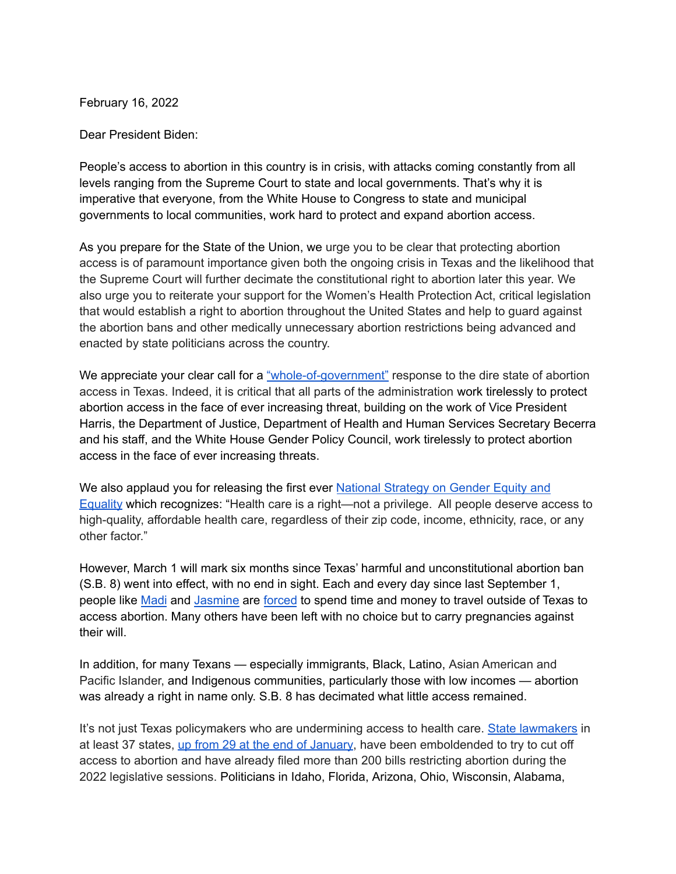February 16, 2022

Dear President Biden:

People's access to abortion in this country is in crisis, with attacks coming constantly from all levels ranging from the Supreme Court to state and local governments. That's why it is imperative that everyone, from the White House to Congress to state and municipal governments to local communities, work hard to protect and expand abortion access.

As you prepare for the State of the Union, we urge you to be clear that protecting abortion access is of paramount importance given both the ongoing crisis in Texas and the likelihood that the Supreme Court will further decimate the constitutional right to abortion later this year. We also urge you to reiterate your support for the Women's Health Protection Act, critical legislation that would establish a right to abortion throughout the United States and help to guard against the abortion bans and other medically unnecessary abortion restrictions being advanced and enacted by state politicians across the country.

We appreciate your clear call for a ["whole-of-government"](https://www.nbcnews.com/politics/white-house/unconstitutional-chaos-biden-vows-whole-government-response-after-texas-abortion-n1278380) response to the dire state of abortion access in Texas. Indeed, it is critical that all parts of the administration work tirelessly to protect abortion access in the face of ever increasing threat, building on the work of Vice President Harris, the Department of Justice, Department of Health and Human Services Secretary Becerra and his staff, and the White House Gender Policy Council, work tirelessly to protect abortion access in the face of ever increasing threats.

We also applaud you for releasing the first ever National [Strategy](https://www.whitehouse.gov/briefing-room/statements-releases/2021/10/22/fact-sheet-national-strategy-on-gender-equity-and-equality/) on Gender Equity and [Equality](https://www.whitehouse.gov/briefing-room/statements-releases/2021/10/22/fact-sheet-national-strategy-on-gender-equity-and-equality/) which recognizes: "Health care is a right—not a privilege. All people deserve access to high-quality, affordable health care, regardless of their zip code, income, ethnicity, race, or any other factor."

However, March 1 will mark six months since Texas' harmful and unconstitutional abortion ban (S.B. 8) went into effect, with no end in sight. Each and every day since last September 1, people like [Madi](https://urldefense.proofpoint.com/v2/url?u=https-3A__u7061146.ct.sendgrid.net_ls_click-3Fupn-3D4tNED-2D2FM8iDZJQyQ53jATUQb3Cs5EG2xhTSqhmzh6OYrrVMPvGgeO9tKvuzeRwBa8TeyVxyPz8xl5-2D2B6slePrA2cGl2gx7EnV16M2T7ZYd2zQGrXlX3cR7deEoROgvIEk5ek2dwcjf72Z1BulQkLXt-2D2BKKV4dl-2D2Bggj0QDDshnn03k4-2D3DGwG7-5FU6-2D2FeA3gGPzD2rEtbnbqlD7IIUkEX5Qal46SlgR2vLktTdXArIK2tf0HgqeIzWLGd0KIGMPXflu-2D2F3x-2D2FJlfQ-2D2Ff9lAr2bp05HTQPulDIQaTCRJpkvAVNVZp67aQ0wMDVVnLpfgKd8gJo1kmCePbCLv1yYEk-2D2BIFoOhCWcLy-2D2FJRwrIN6IiCuT-2D2FYnGJyzPNYqxbPPe6oZHeSn846kwX3OBqkZUaQHsJ5mvzAauUtTAJS5tx9gueiKNOR0vJw7-2D2BMde8-2D2BZLJXpC4F0lDO4xo0awNR3l6pi-2D2B1q82icFpoNNQ-2D2BkP2tSpGhKji2aJfyiw58sVSkkr7fKpegQFO14v8WvupSSb-2D2FQ2g-2D3D-2D3D&d=DwMFaQ&c=M9Y9dUXA_fD4PBleyTV_Lw&r=jxfMgsRs3boAeqTn5A7VEeLWwc4jRkhFLJd3mloqcK0&m=BSC5S5OHIeBmtQDuOkAD1PwfGGiekEiu3sGGstqO3tc&s=eq34_mMkgROi3TDBLi-FwSoOwWGk80qAhjASkGiQU0o&e=) and [Jasmine](https://www.youtube.com/watch?v=Ejwp6UAP_Fw) are [forced](https://apnews.com/article/abortion-texas-louisiana-0cc666fde471f0fe2ce8a5f28977ad28) to spend time and money to travel outside of Texas to access abortion. Many others have been left with no choice but to carry pregnancies against their will.

In addition, for many Texans — especially immigrants, Black, Latino, Asian American and Pacific Islander, and Indigenous communities, particularly those with low incomes — abortion was already a right in name only. S.B. 8 has decimated what little access remained.

It's not just Texas policymakers who are undermining access to health care. State [lawmakers](https://www.plannedparenthood.org/about-us/newsroom/press-releases/interested-parties-memo-dangerous-trend-of-states-attempting-to-pass-15-week-abortion-bans-under-the-radar) in at least 37 states, up from 29 at the end of [January](https://www.washingtonpost.com/politics/2022/01/29/abortion-supreme-court-roe-texas-mississippi/), have been emboldended to try to cut off access to abortion and have already filed more than 200 bills restricting abortion during the 2022 legislative sessions. Politicians in Idaho, Florida, Arizona, Ohio, Wisconsin, Alabama,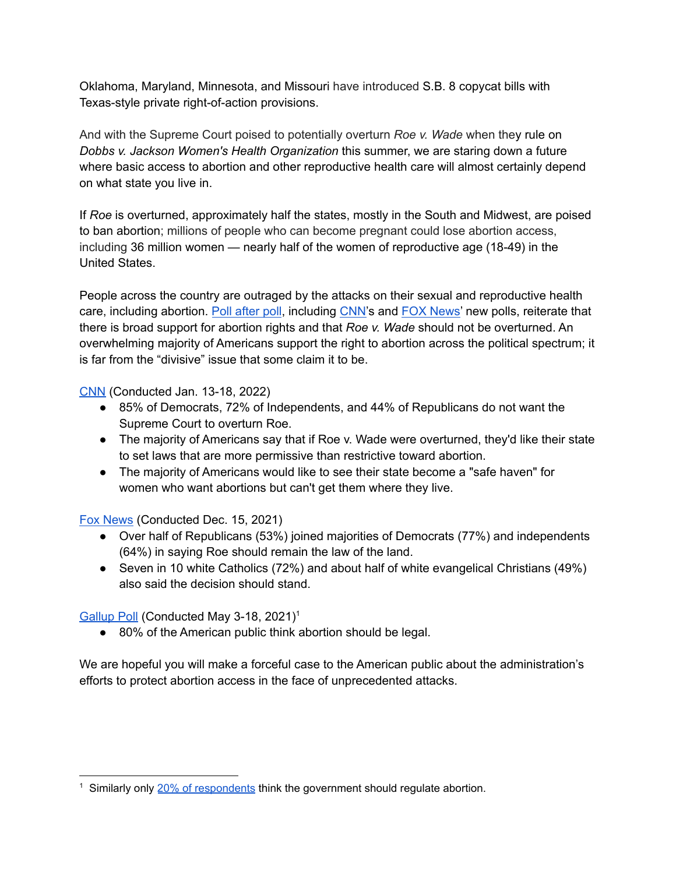Oklahoma, Maryland, Minnesota, and Missouri have introduced S.B. 8 copycat bills with Texas-style private right-of-action provisions.

And with the Supreme Court poised to potentially overturn *Roe v. Wade* when they rule on *Dobbs v. Jackson Women's Health Organization* this summer, we are staring down a future where basic access to abortion and other reproductive health care will almost certainly depend on what state you live in.

If *Roe* is overturned, approximately half the states, mostly in the South and Midwest, are poised to ban abortion; millions of people who can become pregnant could lose abortion access, including 36 million women — nearly half of the women of reproductive age (18-49) in the United States.

People across the country are outraged by the attacks on their sexual and reproductive health care, including abortion. Poll [after](https://www.plannedparenthoodaction.org/pressroom/the-polling-is-clear-stop-calling-abortion-a-divisive-issue) poll, including [CNN'](https://urldefense.proofpoint.com/v2/url?u=https-3A__u7061146.ct.sendgrid.net_ls_click-3Fupn-3D4tNED-2D2FM8iDZJQyQ53jATUSlpKJVqrpbkJrkgeAiUooKIlpsBRxGyS2MmJCrWEwmmnfOMaFMjMXbz86OTKboh66jARSTQ8t4aoeurbY4oW59D-2D2F6PWXr1U-2D2FHapEW7VLiK8KsfO-5FU6-2D2FeA3gGPzD2rEtbnbqlD7IIUkEX5Qal46SlgR2vLktTdXArIK2tf0HgqeIzWLGd0KIGMPXflu-2D2F3x-2D2FJlfQ-2D2Ff9lAr2bp05HTQPulDIQaTCRLtkKDqYGThd1sBcqJYfjTo4-2D2BRbufylnxAI4eirPGOa9FgiKD5IrzB-2D2B8EfImwXeIaG-2D2BGnAnC62VIyAT7qiQ02XUTPvXaHcxEcCy5Hypvf-2D2FZC77qkRAYLRLS-2D2BafguD8THA9oNNzaIM9gZKvpOmwBB-2D2BArYoUL82rcpVOI-2D2BA06oVR6jDrMbsXton0cHuJHbEObpTUVE79mJhWKXgKavLHKdaRnexGZ7w7geRX-2D2Buqin-2D2FlureQ-2D3D-2D3D&d=DwMFaQ&c=M9Y9dUXA_fD4PBleyTV_Lw&r=jxfMgsRs3boAeqTn5A7VEeLWwc4jRkhFLJd3mloqcK0&m=RSMf2X9Ls1SLH1oxwBUX5pdA92S7YUp8Ds_s9zN8y8LCoId-aQKeLNlJ65mDtrVh&s=Ag9lyXr8fX4IxIV2jFyrv9GTR20tybeDUdPSZ5nw4xY&e=)s and FOX [News'](https://www.foxnews.com/politics/abortion-roe-v-wade-polling-where-americans-stand) new polls, reiterate that there is broad support for abortion rights and that *Roe v. Wade* should not be overturned. An overwhelming majority of Americans support the right to abortion across the political spectrum; it is far from the "divisive" issue that some claim it to be.

[CNN](https://urldefense.proofpoint.com/v2/url?u=https-3A__u7061146.ct.sendgrid.net_ls_click-3Fupn-3D4tNED-2D2FM8iDZJQyQ53jATUSlpKJVqrpbkJrkgeAiUooKIlpsBRxGyS2MmJCrWEwmmnfOMaFMjMXbz86OTKboh66jARSTQ8t4aoeurbY4oW59D-2D2F6PWXr1U-2D2FHapEW7VLiK8Umlz-5FU6-2D2FeA3gGPzD2rEtbnbqlD7IIUkEX5Qal46SlgR2vLktTdXArIK2tf0HgqeIzWLGd0KIGMPXflu-2D2F3x-2D2FJlfQ-2D2Ff9lAr2bp05HTQPulDIQaTCRLtkKDqYGThd1sBcqJYfjTo4-2D2BRbufylnxAI4eirPGOa9FgiKD5IrzB-2D2B8EfImwXeIaG-2D2BGnAnC62VIyAT7qiQ02XU73q-2D2BXRSNdX6hmOl3zpQmfZIynOOOx5yjEnl-2D2FOzxlp5So5iBaeL965jX5p4PRbVXvFmfhR81ziGK2JmNsUxOansHZsbtKnbYit4yhHXlYmu1rCurUdA5u3PZI1-2D2BIDr14oY-2D2BXDgqXM4OvQ7P3X19UZhg-2D3D-2D3D&d=DwMFaQ&c=M9Y9dUXA_fD4PBleyTV_Lw&r=jxfMgsRs3boAeqTn5A7VEeLWwc4jRkhFLJd3mloqcK0&m=RSMf2X9Ls1SLH1oxwBUX5pdA92S7YUp8Ds_s9zN8y8LCoId-aQKeLNlJ65mDtrVh&s=GK4MEESyTb4MhJMsZMcQz8TYffjC-yUKXsn4_zPL7Zk&e=) (Conducted Jan. 13-18, 2022)

- 85% of Democrats, 72% of Independents, and 44% of Republicans do not want the Supreme Court to overturn Roe.
- The majority of Americans say that if Roe v. Wade were overturned, they'd like their state to set laws that are more permissive than restrictive toward abortion.
- The majority of Americans would like to see their state become a "safe haven" for women who want abortions but can't get them where they live.

Fox [News](https://urldefense.proofpoint.com/v2/url?u=https-3A__u7061146.ct.sendgrid.net_ls_click-3Fupn-3D4tNED-2D2FM8iDZJQyQ53jATUQcnmVLcszd-2D2FGZT8UoH3vhzE1R8POUL2Ts7SBuKIz1JxlzRB4i6Qbevvd3glp6YzNhOoZi0FwNBI4h3GY4g-2D2BNCzxYIQh-2D2Ba8jBV-2D2FSwGpWNG-2D2F2t-5F06-5FU6-2D2FeA3gGPzD2rEtbnbqlD7IIUkEX5Qal46SlgR2vLktTdXArIK2tf0HgqeIzWLGd0KIGMPXflu-2D2F3x-2D2FJlfQ-2D2Ff9lAr2bp05HTQPulDIQaTCRLtkKDqYGThd1sBcqJYfjTo4-2D2BRbufylnxAI4eirPGOa9FgiKD5IrzB-2D2B8EfImwXeIaG-2D2BGnAnC62VIyAT7qiQ02XU0k6hy3M4UdG7M3xpj0lAIrU2WhFYMSDlVFU5CKb3RTNG-2D2BrGwr88k68gwGjoisKoCDjiJqARqHybC9tk2M4kqiRdQMOaS-2D2F5ttq5z0muXx0KZ7XhqmDel1-2D2FS7-2D2Fp8xPHW2pmOSA0UGfz2zQv5l6pWeFwA-2D3D-2D3D&d=DwMFaQ&c=M9Y9dUXA_fD4PBleyTV_Lw&r=jxfMgsRs3boAeqTn5A7VEeLWwc4jRkhFLJd3mloqcK0&m=RSMf2X9Ls1SLH1oxwBUX5pdA92S7YUp8Ds_s9zN8y8LCoId-aQKeLNlJ65mDtrVh&s=acjLi0oL680rfVjjGD5hupqc4uMgP57x8u2garS2G6E&e=) (Conducted Dec. 15, 2021)

- Over half of Republicans (53%) joined majorities of Democrats (77%) and independents (64%) in saying Roe should remain the law of the land.
- Seven in 10 white Catholics (72%) and about half of white evangelical Christians (49%) also said the decision should stand.

[Gallup](https://urldefense.proofpoint.com/v2/url?u=https-3A__u7061146.ct.sendgrid.net_ls_click-3Fupn-3D4tNED-2D2FM8iDZJQyQ53jATUTPZQ26N384y0pYKGgvm0S1wZk5FCyJQbhralSZU-2D2FwEgnfGPpPWyxd8C1aozIVRhXw-2D3D-2D3DICgq-5FA20kh2ZSAQojVpDaVuf8t02HuovBA9w05XyJJB4amJ-2D2FAGFYea6187EDGotx2dWj-2D2FT3As93arEybTp6lRRYosdGta-2D2FReQ969LQddmkI-2D2Bqtnotl81XjAyjszACJ8pXDBZY-2D2BC1bGajxs9PJi3fJtXxrpWORmm5x6-2D2F2ef4bVfe1PBM-2D2FXmFpOiHJlz3FzajYjwj7o4A9sTnbolJqQkDO2MA7sp3phdnkMdZ6FojVAkh35nSdZcvWekVyk1HjG9jOgn9Wr7cepaNdjHlsh538f0HyAhO26YzJ-2D2F-2D2B-2D2FEZTslwhCvKpxzJMM5uMvWqwPx-2D2FjSxZrDDRGfs6860T9XE5mnTDg927sl1LImvFbl6tX4cmyxwqf-2D2Fw-2D3D&d=DwMFaQ&c=M9Y9dUXA_fD4PBleyTV_Lw&r=RpHirHARGYZhnvahPHC__r0nELfB3T-PqoIdfuVPPoU&m=2rhDlRgxoz1qQwWTw1d5GXEmVFyxdLJjZD0F-ugpvDP5o0iQ4bizw8F0gqcLp_rA&s=PLoPXjpHRPvxV6ht4ITDkMspHts9L4EwdG3asGwBMFg&e=) Poll (Conducted May 3-18, 2021)<sup>1</sup>

● 80% of the American public think abortion should be legal.

We are hopeful you will make a forceful case to the American public about the administration's efforts to protect abortion access in the face of unprecedented attacks.

<sup>&</sup>lt;sup>1</sup> Similarly only 20% of [respondents](https://twitter.com/teemoneyusa/status/1461326771584917507/photo/1) think the government should regulate abortion.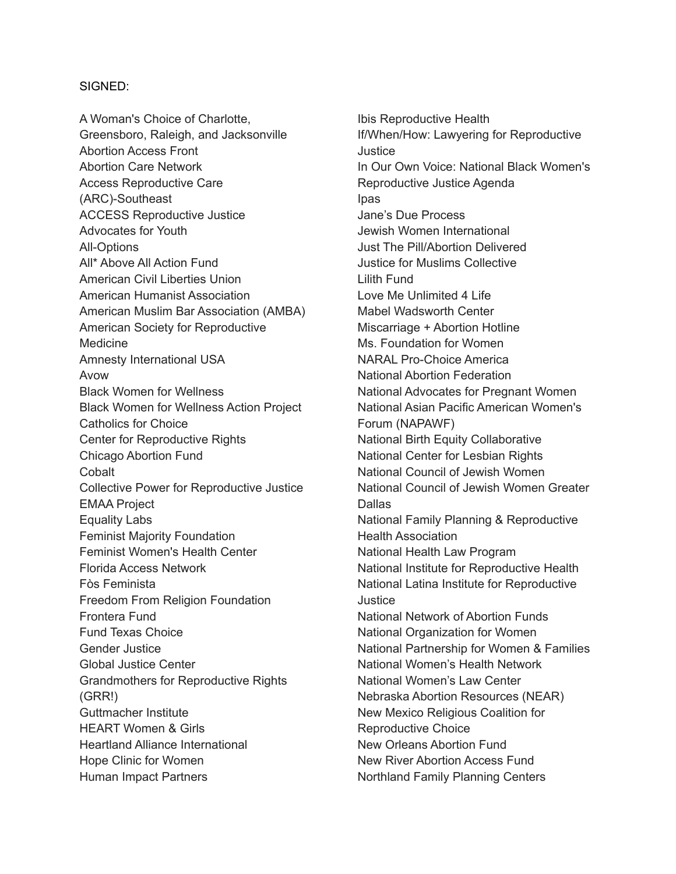## SIGNED:

A Woman's Choice of Charlotte, Greensboro, Raleigh, and Jacksonville Abortion Access Front Abortion Care Network Access Reproductive Care (ARC)-Southeast ACCESS Reproductive Justice Advocates for Youth All-Options All\* Above All Action Fund American Civil Liberties Union American Humanist Association American Muslim Bar Association (AMBA) American Society for Reproductive Medicine Amnesty International USA Avow Black Women for Wellness Black Women for Wellness Action Project Catholics for Choice Center for Reproductive Rights Chicago Abortion Fund Cobalt Collective Power for Reproductive Justice EMAA Project Equality Labs Feminist Majority Foundation Feminist Women's Health Center Florida Access Network Fòs Feminista Freedom From Religion Foundation Frontera Fund Fund Texas Choice Gender Justice Global Justice Center Grandmothers for Reproductive Rights (GRR!) Guttmacher Institute HEART Women & Girls Heartland Alliance International Hope Clinic for Women Human Impact Partners

Ibis Reproductive Health If/When/How: Lawyering for Reproductive **Justice** In Our Own Voice: National Black Women's Reproductive Justice Agenda Ipas Jane's Due Process Jewish Women International Just The Pill/Abortion Delivered Justice for Muslims Collective Lilith Fund Love Me Unlimited 4 Life Mabel Wadsworth Center Miscarriage + Abortion Hotline Ms. Foundation for Women NARAL Pro-Choice America National Abortion Federation National Advocates for Pregnant Women National Asian Pacific American Women's Forum (NAPAWF) National Birth Equity Collaborative National Center for Lesbian Rights National Council of Jewish Women National Council of Jewish Women Greater **Dallas** National Family Planning & Reproductive Health Association National Health Law Program National Institute for Reproductive Health National Latina Institute for Reproductive Justice National Network of Abortion Funds National Organization for Women National Partnership for Women & Families National Women's Health Network National Women's Law Center Nebraska Abortion Resources (NEAR) New Mexico Religious Coalition for Reproductive Choice New Orleans Abortion Fund New River Abortion Access Fund Northland Family Planning Centers